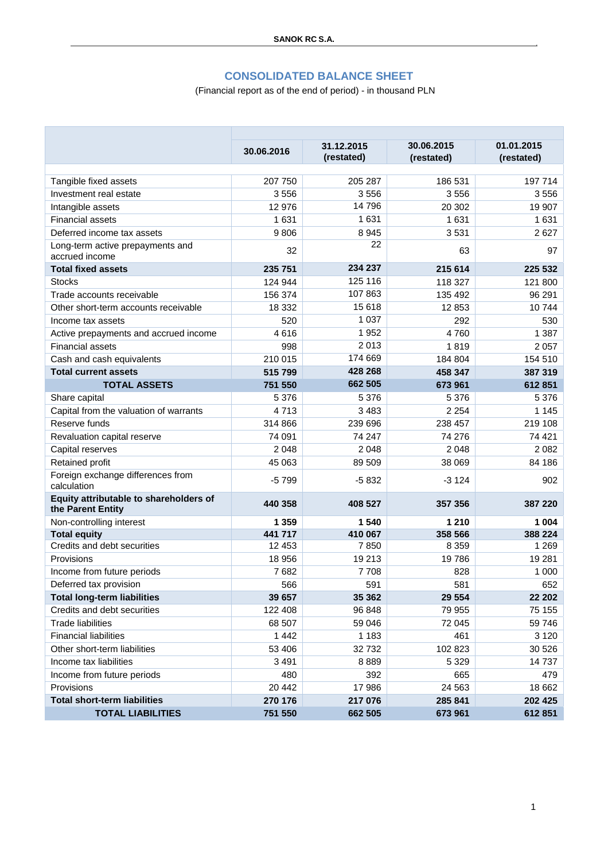#### **CONSOLIDATED BALANCE SHEET**

### (Financial report as of the end of period) - in thousand PLN

|                                                             | 30.06.2016 | 31.12.2015 | 30.06.2015 | 01.01.2015 |
|-------------------------------------------------------------|------------|------------|------------|------------|
|                                                             |            | (restated) | (restated) | (restated) |
| Tangible fixed assets                                       | 207 750    | 205 287    | 186 531    | 197 714    |
| Investment real estate                                      | 3 5 5 6    | 3556       | 3556       | 3556       |
| Intangible assets                                           | 12 976     | 14796      | 20 30 2    | 19 907     |
| <b>Financial assets</b>                                     | 1 631      | 1631       | 1 631      | 1631       |
| Deferred income tax assets                                  | 9806       | 8 9 4 5    | 3531       | 2 6 2 7    |
| Long-term active prepayments and<br>accrued income          | 32         | 22         | 63         | 97         |
| <b>Total fixed assets</b>                                   | 235 751    | 234 237    | 215 614    | 225 532    |
| <b>Stocks</b>                                               | 124 944    | 125 116    | 118 327    | 121 800    |
| Trade accounts receivable                                   | 156 374    | 107863     | 135 492    | 96 291     |
| Other short-term accounts receivable                        | 18 3 32    | 15 618     | 12 853     | 10744      |
| Income tax assets                                           | 520        | 1 0 3 7    | 292        | 530        |
| Active prepayments and accrued income                       | 4616       | 1952       | 4760       | 1 3 8 7    |
| <b>Financial assets</b>                                     | 998        | 2013       | 1819       | 2 0 5 7    |
| Cash and cash equivalents                                   | 210 015    | 174 669    | 184 804    | 154 510    |
| <b>Total current assets</b>                                 | 515 799    | 428 268    | 458 347    | 387 319    |
| <b>TOTAL ASSETS</b>                                         | 751 550    | 662 505    | 673 961    | 612851     |
| Share capital                                               | 5 3 7 6    | 5 3 7 6    | 5 3 7 6    | 5 3 7 6    |
| Capital from the valuation of warrants                      | 4713       | 3 4 8 3    | 2 2 5 4    | 1 1 4 5    |
| Reserve funds                                               | 314 866    | 239 696    | 238 457    | 219 108    |
| Revaluation capital reserve                                 | 74 091     | 74 247     | 74 276     | 74 421     |
| Capital reserves                                            | 2 0 4 8    | 2 0 4 8    | 2 0 4 8    | 2082       |
| Retained profit                                             | 45 063     | 89 509     | 38 069     | 84 186     |
| Foreign exchange differences from<br>calculation            | $-5799$    | $-5832$    | $-3124$    | 902        |
| Equity attributable to shareholders of<br>the Parent Entity | 440 358    | 408 527    | 357 356    | 387 220    |
| Non-controlling interest                                    | 1 3 5 9    | 1 540      | 1 2 1 0    | 1 0 0 4    |
| <b>Total equity</b>                                         | 441 717    | 410 067    | 358 566    | 388 224    |
| Credits and debt securities                                 | 12 453     | 7850       | 8 3 5 9    | 1 2 6 9    |
| Provisions                                                  | 18 956     | 19 213     | 19786      | 19 281     |
| Income from future periods                                  | 7682       | 7708       | 828        | 1 0 0 0    |
| Deferred tax provision                                      | 566        | 591        | 581        | 652        |
| <b>Total long-term liabilities</b>                          | 39 657     | 35 362     | 29 554     | 22 202     |
| Credits and debt securities                                 | 122 408    | 96 848     | 79 955     | 75 155     |
| <b>Trade liabilities</b>                                    | 68 507     | 59 046     | 72 045     | 59 746     |
| <b>Financial liabilities</b>                                | 1 4 4 2    | 1 1 8 3    | 461        | 3 1 2 0    |
| Other short-term liabilities                                | 53 406     | 32732      | 102 823    | 30 526     |
| Income tax liabilities                                      | 3 4 9 1    | 8889       | 5 3 2 9    | 14737      |
| Income from future periods                                  | 480        | 392        | 665        | 479        |
| Provisions                                                  | 20 442     | 17 986     | 24 5 63    | 18 662     |
| <b>Total short-term liabilities</b>                         | 270 176    | 217 076    | 285 841    | 202 425    |
| <b>TOTAL LIABILITIES</b>                                    | 751 550    | 662 505    | 673 961    | 612 851    |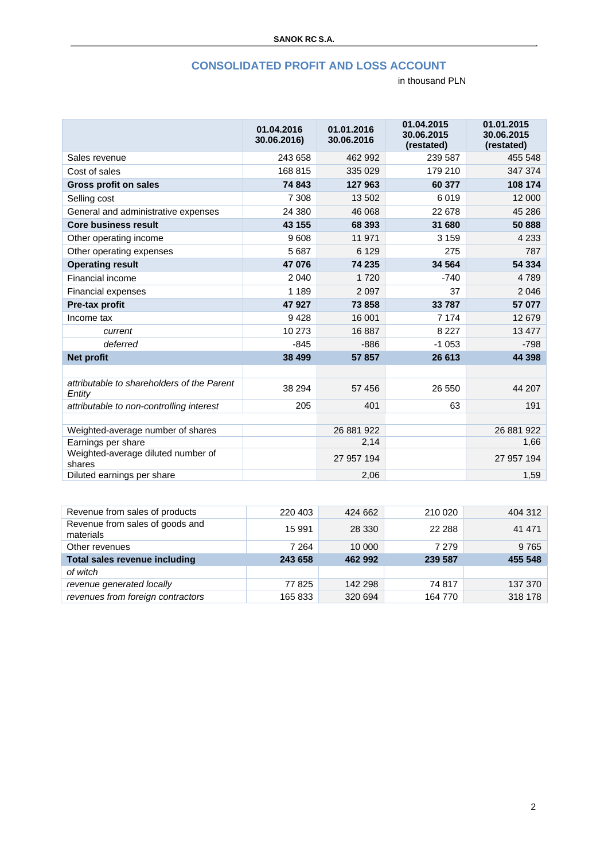#### **CONSOLIDATED PROFIT AND LOSS ACCOUNT**

|                                                      | 01.04.2016<br>30.06.2016) | 01.01.2016<br>30.06.2016 | 01.04.2015<br>30.06.2015<br>(restated) | 01.01.2015<br>30.06.2015<br>(restated) |
|------------------------------------------------------|---------------------------|--------------------------|----------------------------------------|----------------------------------------|
| Sales revenue                                        | 243 658                   | 462 992                  | 239 587                                | 455 548                                |
| Cost of sales                                        | 168 815                   | 335 029                  | 179 210                                | 347 374                                |
| <b>Gross profit on sales</b>                         | 74 843                    | 127 963                  | 60 377                                 | 108 174                                |
| Selling cost                                         | 7 3 0 8                   | 13 502                   | 6019                                   | 12 000                                 |
| General and administrative expenses                  | 24 380                    | 46 068                   | 22 678                                 | 45 286                                 |
| <b>Core business result</b>                          | 43 155                    | 68 393                   | 31 680                                 | 50 888                                 |
| Other operating income                               | 9608                      | 11 971                   | 3 1 5 9                                | 4 2 3 3                                |
| Other operating expenses                             | 5687                      | 6 1 2 9                  | 275                                    | 787                                    |
| <b>Operating result</b>                              | 47 076                    | 74 235                   | 34 564                                 | 54 334                                 |
| Financial income                                     | 2 0 4 0                   | 1720                     | $-740$                                 | 4789                                   |
| Financial expenses                                   | 1 1 8 9                   | 2 0 9 7                  | 37                                     | 2046                                   |
| Pre-tax profit                                       | 47 927                    | 73 858                   | 33 787                                 | 57 077                                 |
| Income tax                                           | 9428                      | 16 001                   | 7 1 7 4                                | 12679                                  |
| current                                              | 10 273                    | 16887                    | 8 2 2 7                                | 13 477                                 |
| deferred                                             | $-845$                    | $-886$                   | $-1053$                                | $-798$                                 |
| <b>Net profit</b>                                    | 38 499                    | 57857                    | 26 613                                 | 44 398                                 |
|                                                      |                           |                          |                                        |                                        |
| attributable to shareholders of the Parent<br>Entity | 38 294                    | 57 456                   | 26 550                                 | 44 207                                 |
| attributable to non-controlling interest             | 205                       | 401                      | 63                                     | 191                                    |
|                                                      |                           |                          |                                        |                                        |
| Weighted-average number of shares                    |                           | 26 881 922               |                                        | 26 881 922                             |
| Earnings per share                                   |                           | 2,14                     |                                        | 1,66                                   |
| Weighted-average diluted number of<br>shares         |                           | 27 957 194               |                                        | 27 957 194                             |
| Diluted earnings per share                           |                           | 2,06                     |                                        | 1,59                                   |

| Revenue from sales of products               | 220 403 | 424 662 | 210 020 | 404 312 |
|----------------------------------------------|---------|---------|---------|---------|
| Revenue from sales of goods and<br>materials | 15 991  | 28 3 30 | 22 288  | 41 471  |
| Other revenues                               | 7 2 6 4 | 10 000  | 7 2 7 9 | 9765    |
| Total sales revenue including                | 243 658 | 462 992 | 239 587 | 455 548 |
| of witch                                     |         |         |         |         |
| revenue generated locally                    | 77 825  | 142 298 | 74 817  | 137 370 |
| revenues from foreign contractors            | 165 833 | 320 694 | 164 770 | 318 178 |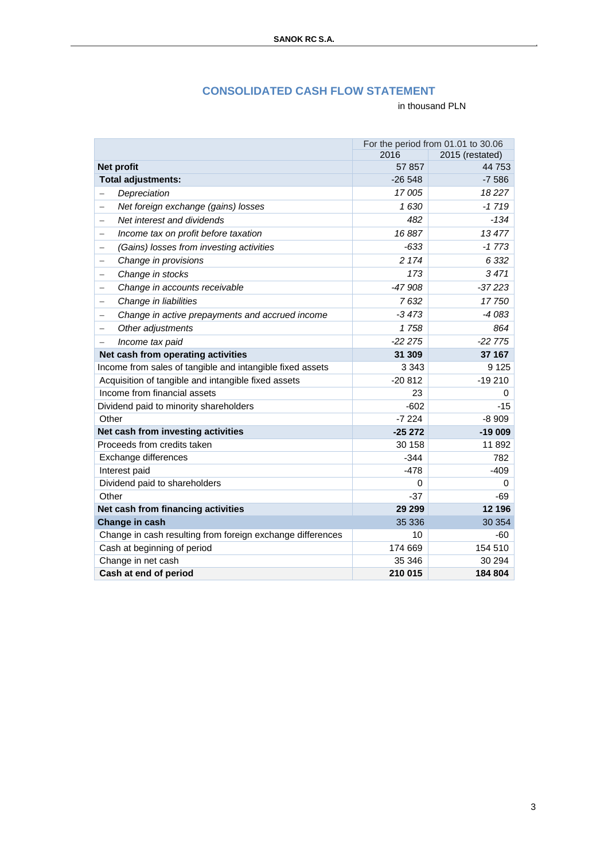## **CONSOLIDATED CASH FLOW STATEMENT**

|                                                                             | For the period from 01.01 to 30.06 |                 |
|-----------------------------------------------------------------------------|------------------------------------|-----------------|
|                                                                             | 2016                               | 2015 (restated) |
| Net profit                                                                  | 57 857                             | 44 753          |
| <b>Total adjustments:</b>                                                   | $-26548$                           | $-7586$         |
| Depreciation<br>—                                                           | 17 005                             | 18227           |
| Net foreign exchange (gains) losses<br>$\overline{\phantom{0}}$             | 1630                               | $-1719$         |
| Net interest and dividends<br>$\overline{\phantom{0}}$                      | 482                                | $-134$          |
| Income tax on profit before taxation<br>$\overline{\phantom{0}}$            | 16887                              | 13477           |
| (Gains) losses from investing activities<br>$\qquad \qquad -$               | $-633$                             | $-1773$         |
| Change in provisions<br>—                                                   | 2 174                              | 6 3 3 2         |
| Change in stocks<br>$\overline{\phantom{0}}$                                | 173                                | 3471            |
| Change in accounts receivable<br>$\qquad \qquad -$                          | $-47908$                           | $-37223$        |
| Change in liabilities<br>—                                                  | 7632                               | 17750           |
| Change in active prepayments and accrued income<br>$\overline{\phantom{0}}$ | $-3473$                            | $-4083$         |
| Other adjustments<br>$\overline{\phantom{0}}$                               | 1758                               | 864             |
| Income tax paid<br>$\overline{\phantom{0}}$                                 | $-222275$                          | $-2275$         |
| Net cash from operating activities                                          | 31 309                             | 37 167          |
| Income from sales of tangible and intangible fixed assets                   | 3 3 4 3                            | 9 1 2 5         |
| Acquisition of tangible and intangible fixed assets                         | $-20812$                           | $-19210$        |
| Income from financial assets                                                | 23                                 | 0               |
| Dividend paid to minority shareholders                                      | $-602$                             | $-15$           |
| Other                                                                       | $-7224$                            | $-8909$         |
| Net cash from investing activities                                          | $-25272$                           | $-19009$        |
| Proceeds from credits taken                                                 | 30 158                             | 11892           |
| Exchange differences                                                        | $-344$                             | 782             |
| Interest paid                                                               | $-478$                             | $-409$          |
| Dividend paid to shareholders                                               | 0                                  | 0               |
| Other                                                                       | $-37$                              | -69             |
| Net cash from financing activities                                          | 29 29 9                            | 12 196          |
| Change in cash                                                              | 35 336                             | 30 354          |
| Change in cash resulting from foreign exchange differences                  | 10                                 | -60             |
| Cash at beginning of period                                                 | 174 669                            | 154 510         |
| Change in net cash                                                          | 35 346                             | 30 294          |
| Cash at end of period                                                       | 210 015                            | 184 804         |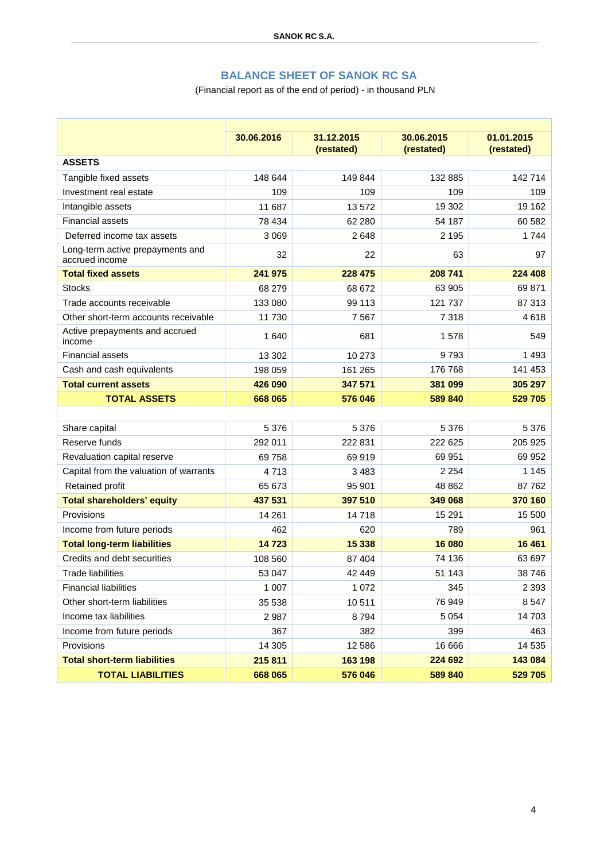# **BALANCE SHEET OF SANOK RC SA**

### (Financial report as of the end of period) - in thousand PLN

|                                                    | 30.06.2016 | 31.12.2015<br>(restated) | 30.06.2015<br>(restated) | 01.01.2015<br>(restated) |
|----------------------------------------------------|------------|--------------------------|--------------------------|--------------------------|
| <b>ASSETS</b>                                      |            |                          |                          |                          |
| Tangible fixed assets                              | 148 644    | 149 844                  | 132 885                  | 142 714                  |
| Investment real estate                             | 109        | 109                      | 109                      | 109                      |
| Intangible assets                                  | 11 687     | 13 572                   | 19 302                   | 19 162                   |
| <b>Financial assets</b>                            | 78 434     | 62 280                   | 54 187                   | 60 582                   |
| Deferred income tax assets                         | 3 0 6 9    | 2648                     | 2 1 9 5                  | 1744                     |
| Long-term active prepayments and<br>accrued income | 32         | 22                       | 63                       | 97                       |
| <b>Total fixed assets</b>                          | 241 975    | 228 475                  | 208 741                  | 224 408                  |
| <b>Stocks</b>                                      | 68 279     | 68 672                   | 63 905                   | 69871                    |
| Trade accounts receivable                          | 133 080    | 99 113                   | 121 737                  | 87 313                   |
| Other short-term accounts receivable               | 11 730     | 7567                     | 7318                     | 4618                     |
| Active prepayments and accrued<br>income           | 1 640      | 681                      | 1578                     | 549                      |
| <b>Financial assets</b>                            | 13 302     | 10 273                   | 9793                     | 1 4 9 3                  |
| Cash and cash equivalents                          | 198 059    | 161 265                  | 176 768                  | 141 453                  |
| <b>Total current assets</b>                        | 426 090    | 347 571                  | 381 099                  | 305 297                  |
| <b>TOTAL ASSETS</b>                                | 668 065    | 576 046                  | 589 840                  | 529 705                  |
|                                                    |            |                          |                          |                          |
| Share capital                                      | 5 3 7 6    | 5 3 7 6                  | 5 3 7 6                  | 5 3 7 6                  |
| Reserve funds                                      | 292 011    | 222 831                  | 222 625                  | 205 925                  |
| Revaluation capital reserve                        | 69758      | 69919                    | 69 951                   | 69 952                   |
| Capital from the valuation of warrants             | 4713       | 3 4 8 3                  | 2 2 5 4                  | 1 1 4 5                  |
| Retained profit                                    | 65 673     | 95 901                   | 48 862                   | 87762                    |
| <b>Total shareholders' equity</b>                  | 437 531    | 397 510                  | 349 068                  | 370 160                  |
| Provisions                                         | 14 261     | 14718                    | 15 291                   | 15 500                   |
| Income from future periods                         | 462        | 620                      | 789                      | 961                      |
| <b>Total long-term liabilities</b>                 | 14723      | 15 338                   | 16 080                   | 16 4 61                  |
| Credits and debt securities                        | 108 560    | 87 404                   | 74 136                   | 63 697                   |
| <b>Trade liabilities</b>                           | 53 047     | 42 449                   | 51 143                   | 38 746                   |
| <b>Financial liabilities</b>                       | 1 0 0 7    | 1 0 7 2                  | 345                      | 2 3 9 3                  |
| Other short-term liabilities                       | 35 538     | 10511                    | 76 949                   | 8 5 4 7                  |
| Income tax liabilities                             | 2987       | 8794                     | 5 0 5 4                  | 14703                    |
| Income from future periods                         | 367        | 382                      | 399                      | 463                      |
| Provisions                                         | 14 30 5    | 12 5 8 6                 | 16 666                   | 14 535                   |
| <b>Total short-term liabilities</b>                | 215 811    | 163 198                  | 224 692                  | 143 084                  |
| <b>TOTAL LIABILITIES</b>                           | 668 065    | 576 046                  | 589 840                  | 529 705                  |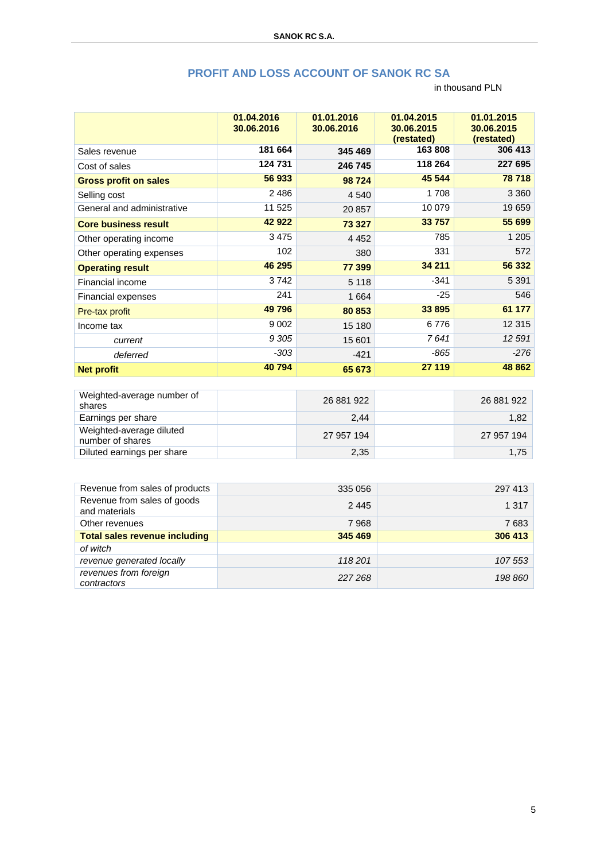# **PROFIT AND LOSS ACCOUNT OF SANOK RC SA**

|                              | 01.04.2016<br>30.06.2016 | 01.01.2016<br>30.06.2016 | 01.04.2015<br>30.06.2015<br>(restated) | 01.01.2015<br>30.06.2015<br>(restated) |
|------------------------------|--------------------------|--------------------------|----------------------------------------|----------------------------------------|
| Sales revenue                | 181 664                  | 345 469                  | 163808                                 | 306 413                                |
| Cost of sales                | 124 731                  | 246 745                  | 118 264                                | 227 695                                |
| <b>Gross profit on sales</b> | 56 933                   | 98 724                   | 45 544                                 | 78 718                                 |
| Selling cost                 | 2486                     | 4 5 4 0                  | 1708                                   | 3 3 6 0                                |
| General and administrative   | 11 525                   | 20 857                   | 10 079                                 | 19659                                  |
| <b>Core business result</b>  | 42 922                   | 73 327                   | 33 757                                 | 55 699                                 |
| Other operating income       | 3475                     | 4 4 5 2                  | 785                                    | 1 2 0 5                                |
| Other operating expenses     | 102                      | 380                      | 331                                    | 572                                    |
| <b>Operating result</b>      | 46 295                   | 77 399                   | 34 211                                 | 56 332                                 |
| Financial income             | 3742                     | 5 1 1 8                  | $-341$                                 | 5 3 9 1                                |
| <b>Financial expenses</b>    | 241                      | 1 6 6 4                  | $-25$                                  | 546                                    |
| <b>Pre-tax profit</b>        | 49 796                   | 80 853                   | 33 895                                 | 61 177                                 |
| Income tax                   | 9 0 0 2                  | 15 180                   | 6776                                   | 12 3 15                                |
| current                      | 9 3 0 5                  | 15 601                   | 7641                                   | 12 591                                 |
| deferred                     | $-303$                   | $-421$                   | $-865$                                 | $-276$                                 |
| <b>Net profit</b>            | 40794                    | 65 673                   | 27 119                                 | 48 862                                 |

| Weighted-average number of<br>shares         | 26 881 922 | 26 881 922 |
|----------------------------------------------|------------|------------|
| Earnings per share                           | 2.44       | 1.82       |
| Weighted-average diluted<br>number of shares | 27 957 194 | 27 957 194 |
| Diluted earnings per share                   | 2,35       | 1.75       |

| Revenue from sales of products               | 335 056 | 297 413 |
|----------------------------------------------|---------|---------|
| Revenue from sales of goods<br>and materials | 2445    | 1 3 1 7 |
| Other revenues                               | 7968    | 7683    |
| <b>Total sales revenue including</b>         | 345 469 | 306 413 |
| of witch                                     |         |         |
| revenue generated locally                    | 118 201 | 107 553 |
| revenues from foreign<br>contractors         | 227 268 | 198 860 |